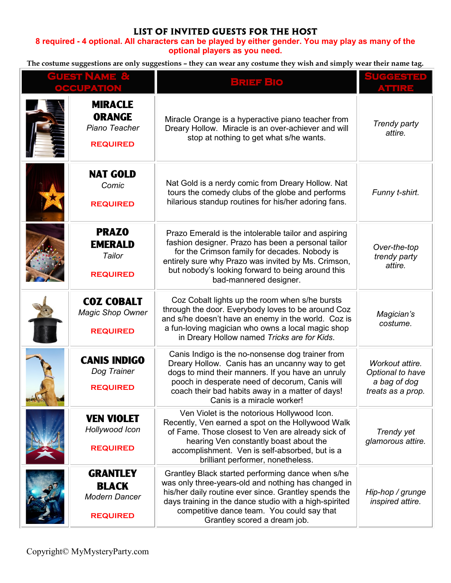## **LIST OF INVITED GUESTS FOR THE HOST**

## **8 required - 4 optional. All characters can be played by either gender. You may play as many of the optional players as you need.**

**The costume suggestions are only suggestions – they can wear any costume they wish and simply wear their name tag.** 

| <b>GUEST NAME &amp;</b><br><b>OCCUPATION</b> |                                                                            | <b>BRIEF BIO</b>                                                                                                                                                                                                                                                                                          | <u>UCCESTED</u><br>vodiaa                                                |
|----------------------------------------------|----------------------------------------------------------------------------|-----------------------------------------------------------------------------------------------------------------------------------------------------------------------------------------------------------------------------------------------------------------------------------------------------------|--------------------------------------------------------------------------|
|                                              | <b>MIRACLE</b><br><b>ORANGE</b><br>Piano Teacher<br><b>REQUIRED</b>        | Miracle Orange is a hyperactive piano teacher from<br>Dreary Hollow. Miracle is an over-achiever and will<br>stop at nothing to get what s/he wants.                                                                                                                                                      | Trendy party<br>attire.                                                  |
|                                              | <b>NAT GOLD</b><br>Comic<br><b>REQUIRED</b>                                | Nat Gold is a nerdy comic from Dreary Hollow. Nat<br>tours the comedy clubs of the globe and performs<br>hilarious standup routines for his/her adoring fans.                                                                                                                                             | Funny t-shirt.                                                           |
|                                              | <b>PRAZO</b><br><b>EMERALD</b><br>Tailor<br><b>REQUIRED</b>                | Prazo Emerald is the intolerable tailor and aspiring<br>fashion designer. Prazo has been a personal tailor<br>for the Crimson family for decades. Nobody is<br>entirely sure why Prazo was invited by Ms. Crimson,<br>but nobody's looking forward to being around this<br>bad-mannered designer.         | Over-the-top<br>trendy party<br>attire.                                  |
|                                              | <b>COZ COBALT</b><br><b>Magic Shop Owner</b><br><b>REQUIRED</b>            | Coz Cobalt lights up the room when s/he bursts<br>through the door. Everybody loves to be around Coz<br>and s/he doesn't have an enemy in the world. Coz is<br>a fun-loving magician who owns a local magic shop<br>in Dreary Hollow named Tricks are for Kids.                                           | Magician's<br>costume.                                                   |
|                                              | <b>CANIS INDIGO</b><br>Dog Trainer<br><b>REQUIRED</b>                      | Canis Indigo is the no-nonsense dog trainer from<br>Dreary Hollow. Canis has an uncanny way to get<br>dogs to mind their manners. If you have an unruly<br>pooch in desperate need of decorum, Canis will<br>coach their bad habits away in a matter of days!<br>Canis is a miracle worker!               | Workout attire.<br>Optional to have<br>a bag of dog<br>treats as a prop. |
|                                              | <b>VEN VIOLET</b><br>Hollywood Icon<br><b>REQUIRED</b>                     | Ven Violet is the notorious Hollywood Icon.<br>Recently, Ven earned a spot on the Hollywood Walk<br>of Fame. Those closest to Ven are already sick of<br>hearing Ven constantly boast about the<br>accomplishment. Ven is self-absorbed, but is a<br>brilliant performer, nonetheless.                    | Trendy yet<br>glamorous attire.                                          |
|                                              | <b>GRANTLEY</b><br><b>BLACK</b><br><b>Modern Dancer</b><br><b>REQUIRED</b> | Grantley Black started performing dance when s/he<br>was only three-years-old and nothing has changed in<br>his/her daily routine ever since. Grantley spends the<br>days training in the dance studio with a high-spirited<br>competitive dance team. You could say that<br>Grantley scored a dream job. | Hip-hop / grunge<br>inspired attire.                                     |